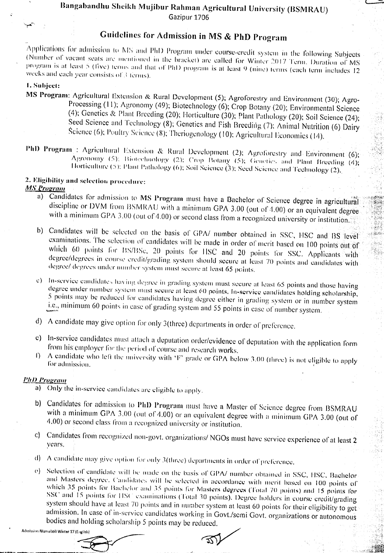# Bangabandhu Sheikh Mujibur Rahman Agricultural University (BSMRAU)

Gaziour 1706

## Guidelines for Admission in MS & PhD Program

Applications for admission to MS and PhD Program under course-credit system in the following Subjects (Number of vacant seats are mentioned in the bracket) are called for Winter 2017 Term. Duration of MS program is at least 5 (five) terms and that of PhD program is at least 9 (nine) terms (each term includes 12 weeks and each year consists of 3 terms).

#### 1. Subject:

- MS Program: Agricultural Extension & Rural Development (5); Agroforestry and Environment (30); Agro-Processing (11); Agronomy (49); Biotechnology (6); Crop Botany (20); Environmental Science (4); Genetics & Plant Breeding (20); Horticulture (30); Plant Pathology (20); Soil Science (24); Seed Science and Technology (8); Genetics and Fish Breeding (7); Animal Nutrition (6) Dairy Science (6); Poultry Science (8); Theriogenology (10); Agricultural Economics (14).
- PhD Program : Agricultural Extension & Rural Development (2); Agroforestry and Environment (6); Agronomy (5); Biotechnology (2): Crop Botany (5); Genetics and Plant Breeding (4); Hortieulture (5); Plant Pathology (6); Soil Science (3); Seed Science and Technology (2).

#### 2. Eligibility and selection procedure: **MS Program**

a) Candidates for admission to MS Program must have a Bachelor of Science degree in agricultural discipline or DVM from BSMRAU with a minimum GPA 3.00 (out of 4.00) or an equivalent degree with a minimum GPA 3.00 (out of 4.00) or second class from a recognized university or institution.

é La

- b) Candidates will be selected on the basis of GPA/ number obtained in SSC, HSC and BS level examinations. The selection of candidates will be made in order of merit based on 100 points out of which 60 points for BS/BSc, 20 points for HSC and 20 points for SSC. Applicants with degree/degrees in course credit/grading system should secure at least 70 points and candidates with degree/ degrees under number system must secure at least 65 points.
- c) In-service candidates having degree in grading system must secure at least 65 points and those having degree under number system must secure at least 60 points. In-service candidates holding scholarship, 5 points may be reduced for candidates having degree either in grading system or in number system i.e., minimum 60 points in case of grading system and 55 points in case of number system.
- d) A candidate may give option for only 3(three) departments in order of preference.
- e) In-service candidates must attach a deputation order/evidence of deputation with the application form from his employer for the period of course and research works.
- A candidate who left the university with 'F' grade or GPA below 3.00 (three) is not eligible to apply  $\bigcap$ for admission.

### **PhD Program**

- a) Only the in-service candidates are eligible to apply.
- b) Candidates for admission to PhD Program must have a Master of Science degree from BSMRAU with a minimum GPA 3.00 (out of  $4.00$ ) or an equivalent degree with a minimum GPA 3.00 (out of 4.00) or second class from a recognized university or institution.
- c) Candidates from recognized non-govt. organizations/ NGOs must have service experience of at least 2 years.
- d) A candidate may give option for only 3(three) departments in order of preference.
- e) Selection of candidate will be made on the basis of GPA/ number obtained in SSC, HSC, Bachelorand Masters degree. Candidates will be selected in accordance with merit based on 100 points of which 35 points for Bachelor and 35 points for Masters degrees (Total 70 points) and 15 points for SSC and 15 points for HSC examinations (Total 30 points). Degree holders in course credit/grading system should have at least 70 points and in number system at least 60 points for their eligibility to get. admission. In case of in-service candidates working in Govt./semi Govt. organizations or autonomous bodies and holding scholarship 5 points may be reduced.

Admission Niamaboli Winter 17 (English)